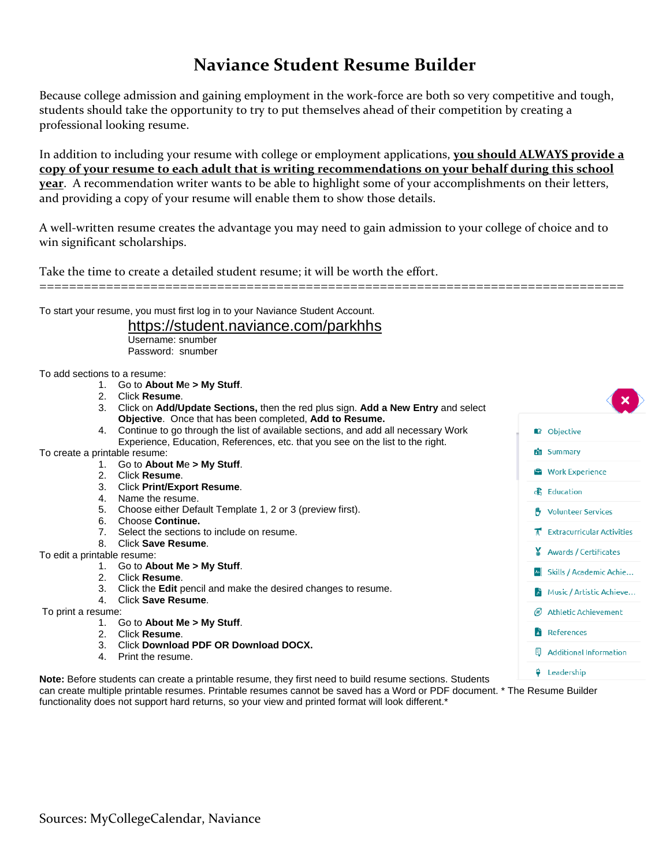# **Naviance Student Resume Builder**

Because college admission and gaining employment in the work-force are both so very competitive and tough, students should take the opportunity to try to put themselves ahead of their competition by creating a professional looking resume.

In addition to including your resume with college or employment applications, **you should ALWAYS provide a copy of your resume to each adult that is writing recommendations on your behalf during this school year**. A recommendation writer wants to be able to highlight some of your accomplishments on their letters, and providing a copy of your resume will enable them to show those details.

A well-written resume creates the advantage you may need to gain admission to your college of choice and to win significant scholarships.

===============================================================================

Take the time to create a detailed student resume; it will be worth the effort.

To start your resume, you must first log in to your Naviance Student Account.

# <https://student.naviance.com/parkhhs>

Username: snumber Password: snumber

#### To add sections to a resume:

- 1. Go to **About M**e **> My Stuff**.
- 2. Click **Resume**.
- 3. Click on **Add/Update Sections,** then the red plus sign. **Add a New Entry** and select **Objective**. Once that has been completed, **Add to Resume.**

#### To create a printable resume:

#### To edit a printable resume:

To print a resume:

**Note:** Before students can create a printable resume, they first need to build resume sections. Students

can create multiple printable resumes. Printable resumes cannot be saved has a Word or PDF document. \* The Resume Builder functionality does not support hard returns, so your view and printed format will look different.\*

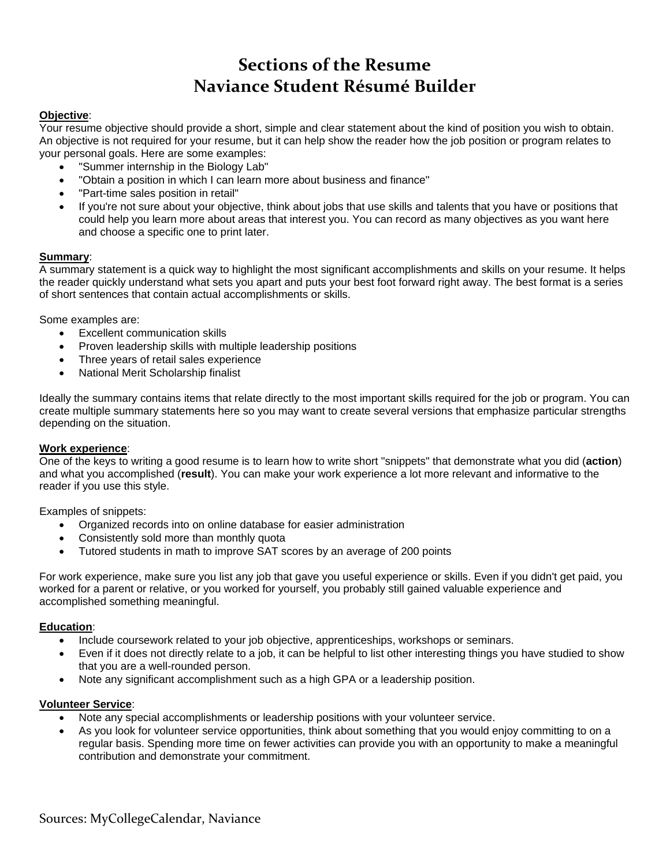# **Sections of the Resume Naviance Student Résumé Builder**

# **Objective**:

Your resume objective should provide a short, simple and clear statement about the kind of position you wish to obtain. An objective is not required for your resume, but it can help show the reader how the job position or program relates to your personal goals. Here are some examples:

- "Summer internship in the Biology Lab"
- "Obtain a position in which I can learn more about business and finance"
- "Part-time sales position in retail"
- If you're not sure about your objective, think about jobs that use skills and talents that you have or positions that could help you learn more about areas that interest you. You can record as many objectives as you want here and choose a specific one to print later.

#### **Summary**:

A summary statement is a quick way to highlight the most significant accomplishments and skills on your resume. It helps the reader quickly understand what sets you apart and puts your best foot forward right away. The best format is a series of short sentences that contain actual accomplishments or skills.

Some examples are:

- Excellent communication skills
- Proven leadership skills with multiple leadership positions
- Three years of retail sales experience
- National Merit Scholarship finalist

Ideally the summary contains items that relate directly to the most important skills required for the job or program. You can create multiple summary statements here so you may want to create several versions that emphasize particular strengths depending on the situation.

#### **Work experience**:

One of the keys to writing a good resume is to learn how to write short "snippets" that demonstrate what you did (**action**) and what you accomplished (**result**). You can make your work experience a lot more relevant and informative to the reader if you use this style.

Examples of snippets:

- Organized records into on online database for easier administration
- Consistently sold more than monthly quota
- Tutored students in math to improve SAT scores by an average of 200 points

For work experience, make sure you list any job that gave you useful experience or skills. Even if you didn't get paid, you worked for a parent or relative, or you worked for yourself, you probably still gained valuable experience and accomplished something meaningful.

#### **Education**:

- Include coursework related to your job objective, apprenticeships, workshops or seminars.
- Even if it does not directly relate to a job, it can be helpful to list other interesting things you have studied to show that you are a well-rounded person.
- Note any significant accomplishment such as a high GPA or a leadership position.

#### **Volunteer Service**:

- Note any special accomplishments or leadership positions with your volunteer service.
- As you look for volunteer service opportunities, think about something that you would enjoy committing to on a regular basis. Spending more time on fewer activities can provide you with an opportunity to make a meaningful contribution and demonstrate your commitment.